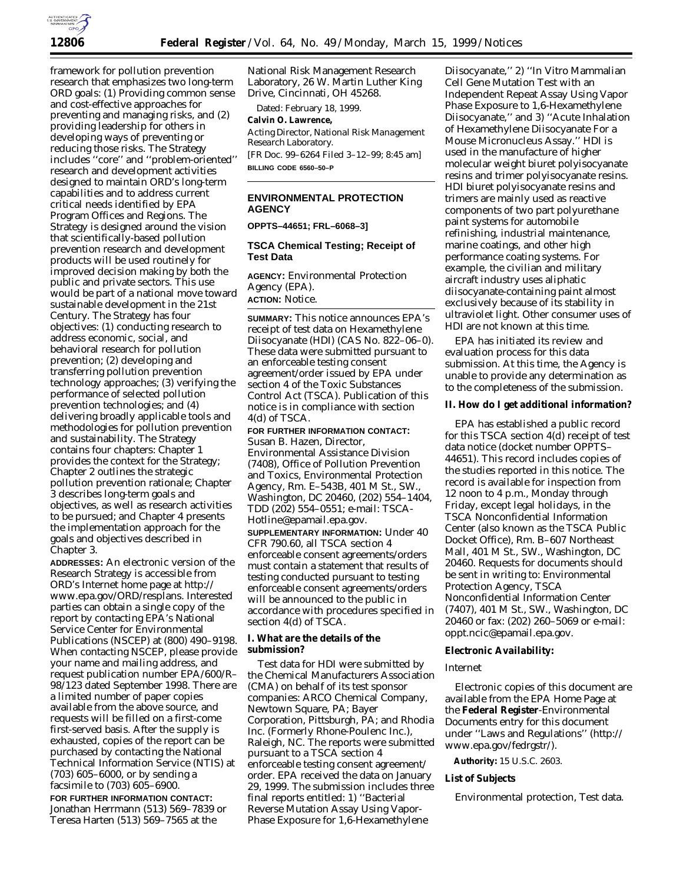

framework for pollution prevention research that emphasizes two long-term ORD goals: (1) Providing common sense and cost-effective approaches for preventing and managing risks, and (2) providing leadership for others in developing ways of preventing or reducing those risks. The Strategy includes ''core'' and ''problem-oriented'' research and development activities designed to maintain ORD's long-term capabilities and to address current critical needs identified by EPA Program Offices and Regions. The Strategy is designed around the vision that scientifically-based pollution prevention research and development products will be used routinely for improved decision making by both the public and private sectors. This use would be part of a national move toward sustainable development in the 21st Century. The Strategy has four objectives: (1) conducting research to address economic, social, and behavioral research for pollution prevention; (2) developing and transferring pollution prevention technology approaches; (3) verifying the performance of selected pollution prevention technologies; and (4) delivering broadly applicable tools and methodologies for pollution prevention and sustainability. The Strategy contains four chapters: Chapter 1 provides the context for the Strategy; Chapter 2 outlines the strategic pollution prevention rationale; Chapter 3 describes long-term goals and objectives, as well as research activities to be pursued; and Chapter 4 presents the implementation approach for the goals and objectives described in Chapter 3.

**ADDRESSES:** An electronic version of the Research Strategy is accessible from ORD's Internet home page at http:// www.epa.gov/ORD/resplans. Interested parties can obtain a single copy of the report by contacting EPA's National Service Center for Environmental Publications (NSCEP) at (800) 490–9198. When contacting NSCEP, please provide your name and mailing address, and request publication number EPA/600/R– 98/123 dated September 1998. There are a limited number of paper copies available from the above source, and requests will be filled on a first-come first-served basis. After the supply is exhausted, copies of the report can be purchased by contacting the National Technical Information Service (NTIS) at (703) 605–6000, or by sending a facsimile to (703) 605–6900.

**FOR FURTHER INFORMATION CONTACT:** Jonathan Herrmann (513) 569–7839 or Teresa Harten (513) 569–7565 at the

National Risk Management Research Laboratory, 26 W. Martin Luther King Drive, Cincinnati, OH 45268.

Dated: February 18, 1999.

# **Calvin O. Lawrence,**

*Acting Director, National Risk Management Research Laboratory.*

[FR Doc. 99–6264 Filed 3–12–99; 8:45 am] **BILLING CODE 6560–50–P**

# **ENVIRONMENTAL PROTECTION AGENCY**

**OPPTS–44651; FRL–6068–3]**

# **TSCA Chemical Testing; Receipt of Test Data**

**AGENCY:** Environmental Protection Agency (EPA). **ACTION:** Notice.

**SUMMARY:** This notice announces EPA's receipt of test data on Hexamethylene Diisocyanate (HDI) (CAS No. 822–06–0). These data were submitted pursuant to an enforceable testing consent agreement/order issued by EPA under section 4 of the Toxic Substances Control Act (TSCA). Publication of this notice is in compliance with section 4(d) of TSCA.

**FOR FURTHER INFORMATION CONTACT:** Susan B. Hazen, Director, Environmental Assistance Division (7408), Office of Pollution Prevention and Toxics, Environmental Protection Agency, Rm. E–543B, 401 M St., SW., Washington, DC 20460, (202) 554–1404, TDD (202) 554–0551; e-mail: TSCA-Hotline@epamail.epa.gov.

**SUPPLEMENTARY INFORMATION:** Under 40 CFR 790.60, all TSCA section 4 enforceable consent agreements/orders must contain a statement that results of testing conducted pursuant to testing enforceable consent agreements/orders will be announced to the public in accordance with procedures specified in section 4(d) of TSCA.

## **I. What are the details of the submission?**

Test data for HDI were submitted by the Chemical Manufacturers Association (CMA) on behalf of its test sponsor companies: ARCO Chemical Company, Newtown Square, PA; Bayer Corporation, Pittsburgh, PA; and Rhodia Inc. (Formerly Rhone-Poulenc Inc.), Raleigh, NC. The reports were submitted pursuant to a TSCA section 4 enforceable testing consent agreement/ order. EPA received the data on January 29, 1999. The submission includes three final reports entitled: 1) ''Bacterial Reverse Mutation Assay Using Vapor-Phase Exposure for 1,6-Hexamethylene

Diisocyanate,'' 2) ''*In Vitro* Mammalian Cell Gene Mutation Test with an Independent Repeat Assay Using Vapor Phase Exposure to 1,6-Hexamethylene Diisocyanate,'' and 3) ''Acute Inhalation of Hexamethylene Diisocyanate For a Mouse Micronucleus Assay.'' HDI is used in the manufacture of higher molecular weight biuret polyisocyanate resins and trimer polyisocyanate resins. HDI biuret polyisocyanate resins and trimers are mainly used as reactive components of two part polyurethane paint systems for automobile refinishing, industrial maintenance, marine coatings, and other high performance coating systems. For example, the civilian and military aircraft industry uses aliphatic diisocyanate-containing paint almost exclusively because of its stability in ultraviolet light. Other consumer uses of HDI are not known at this time.

EPA has initiated its review and evaluation process for this data submission. At this time, the Agency is unable to provide any determination as to the completeness of the submission.

## **II. How do I get additional information?**

EPA has established a public record for this TSCA section 4(d) receipt of test data notice (docket number OPPTS– 44651). This record includes copies of the studies reported in this notice. The record is available for inspection from 12 noon to 4 p.m., Monday through Friday, except legal holidays, in the TSCA Nonconfidential Information Center (also known as the TSCA Public Docket Office), Rm. B–607 Northeast Mall, 401 M St., SW., Washington, DC 20460. Requests for documents should be sent in writing to: Environmental Protection Agency, TSCA Nonconfidential Information Center (7407), 401 M St., SW., Washington, DC 20460 or fax: (202) 260–5069 or e-mail: oppt.ncic@epamail.epa.gov.

### **Electronic Availability:**

#### *Internet*

Electronic copies of this document are available from the EPA Home Page at the **Federal Register**-Environmental Documents entry for this document under ''Laws and Regulations'' (http:// www.epa.gov/fedrgstr/).

**Authority:** 15 U.S.C. 2603.

## **List of Subjects**

Environmental protection, Test data.